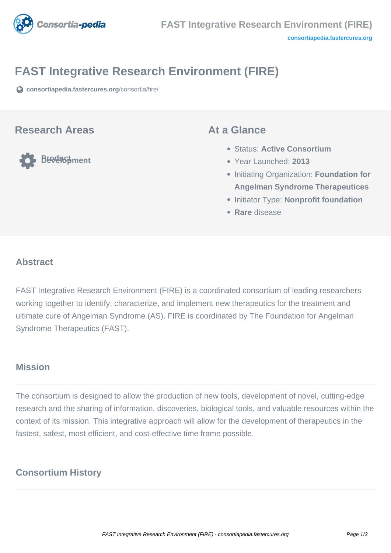

# **FAST Integrative Research Environment (FIRE)**

**[consortiapedia.fastercures.org](https://consortiapedia.fastercures.org/consortia/fire/)**[/consortia/fire/](https://consortiapedia.fastercures.org/consortia/fire/)

#### **Research Areas**

**Product Development**

#### **At a Glance**

- Status: **Active Consortium**
- Year Launched: **2013**
- **Initiating Organization: Foundation for Angelman Syndrome Therapeutices**
- **Initiator Type: Nonprofit foundation**
- **Rare** disease

#### $\overline{a}$ **Abstract**

FAST Integrative Research Environment (FIRE) is a coordinated consortium of leading researchers working together to identify, characterize, and implement new therapeutics for the treatment and ultimate cure of Angelman Syndrome (AS). FIRE is coordinated by The Foundation for Angelman Syndrome Therapeutics (FAST).

## **Mission**

The consortium is designed to allow the production of new tools, development of novel, cutting-edge research and the sharing of information, discoveries, biological tools, and valuable resources within the context of its mission. This integrative approach will allow for the development of therapeutics in the fastest, safest, most efficient, and cost-effective time frame possible.

## **Consortium History**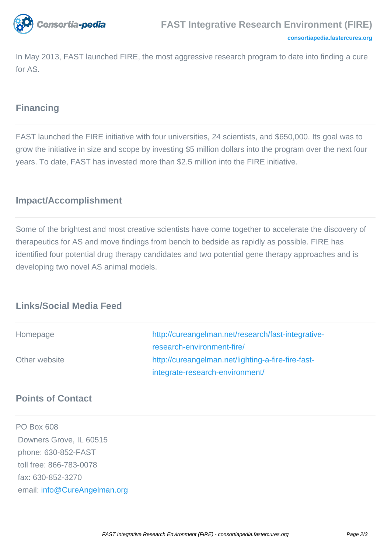

In May 2013, FAST launched FIRE, the most aggressive research program to date into finding a cure for AS.

### **Financing**

FAST launched the FIRE initiative with four universities, 24 scientists, and \$650,000. Its goal was to grow the initiative in size and scope by investing \$5 million dollars into the program over the next four years. To date, FAST has invested more than \$2.5 million into the FIRE initiative.

### **Impact/Accomplishment**

Some of the brightest and most creative scientists have come together to accelerate the discovery of therapeutics for AS and move findings from bench to bedside as rapidly as possible. FIRE has identified four potential drug therapy candidates and two potential gene therapy approaches and is developing two novel AS animal models.

#### **Links/Social Media Feed**

| Homepage      | http://cureangelman.net/research/fast-integrative- |
|---------------|----------------------------------------------------|
|               | research-environment-fire/                         |
| Other website | http://cureangelman.net/lighting-a-fire-fire-fast- |
|               | integrate-research-environment/                    |

#### **Points of Contact**

PO Box 608 Downers Grove, IL 60515 phone: 630-852-FAST toll free: 866-783-0078 fax: 630-852-3270 email: [info@CureAngelman.org](mailto:info@CureAngelman.org)